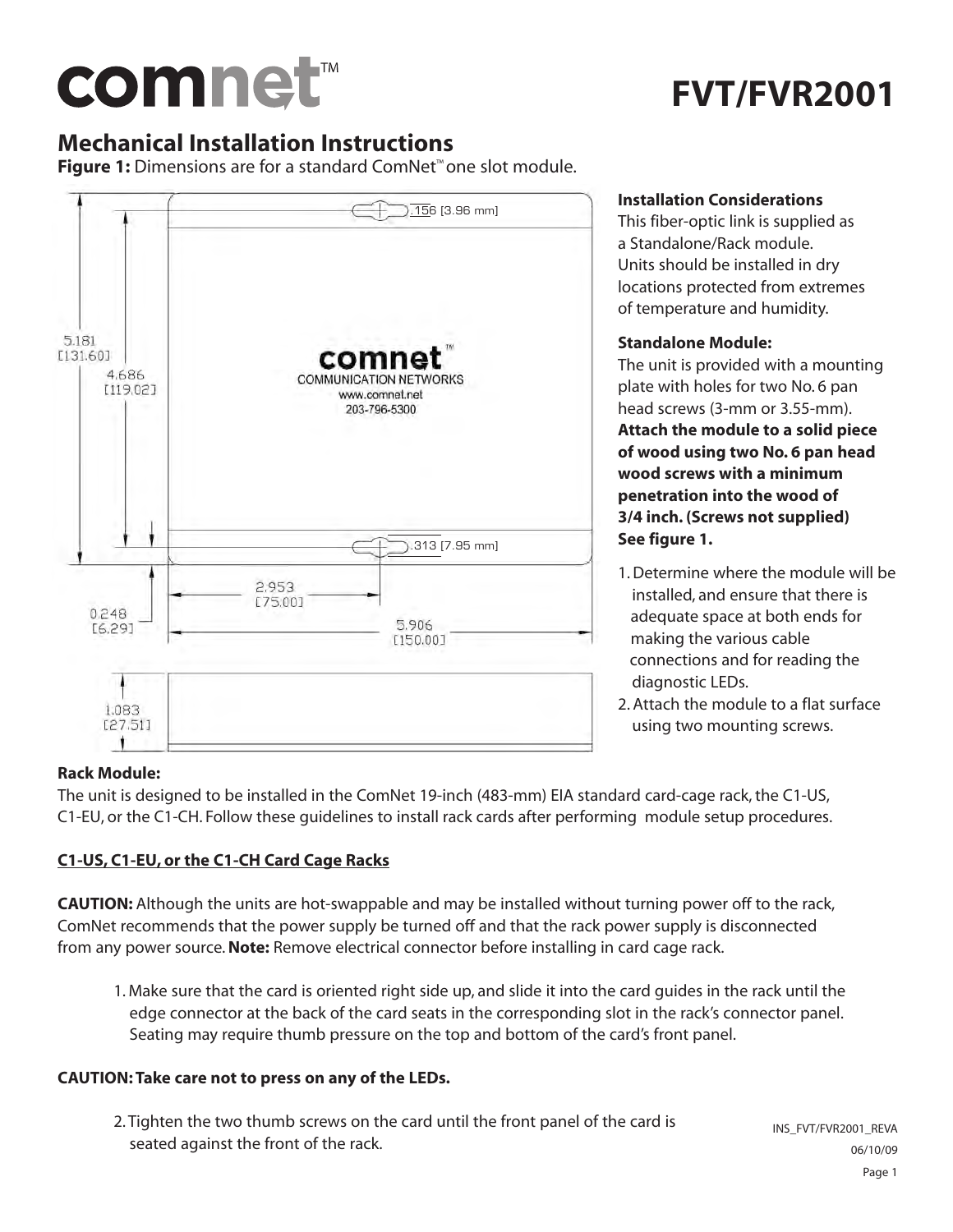## comnet™

## **FVT/FVR2001**

### **Mechanical Installation Instructions**

**Figure 1:** Dimensions are for a standard ComNet™ one slot module.



### **Installation Considerations**

This fiber-optic link is supplied as a Standalone/Rack module. Units should be installed in dry locations protected from extremes of temperature and humidity.

### **Standalone Module:**

The unit is provided with a mounting plate with holes for two No. 6 pan head screws (3-mm or 3.55-mm).

**Attach the module to a solid piece of wood using two No. 6 pan head wood screws with a minimum penetration into the wood of 3/4 inch. (Screws not supplied) See figure 1.**

- 1. Determine where the module will be installed, and ensure that there is adequate space at both ends for making the various cable connections and for reading the diagnostic LEDs.
- 2. Attach the module to a flat surface using two mounting screws.

### **Rack Module:**

The unit is designed to be installed in the ComNet 19-inch (483-mm) EIA standard card-cage rack, the C1-US, C1-EU, or the C1-CH. Follow these guidelines to install rack cards after performing module setup procedures.

### **C1-US, C1-EU, or the C1-CH Card Cage Racks**

**CAUTION:** Although the units are hot-swappable and may be installed without turning power off to the rack, ComNet recommends that the power supply be turned off and that the rack power supply is disconnected from any power source.**Note:** Remove electrical connector before installing in card cage rack.

1. Make sure that the card is oriented right side up, and slide it into the card guides in the rack until the edge connector at the back of the card seats in the corresponding slot in the rack's connector panel. Seating may require thumb pressure on the top and bottom of the card's front panel.

### **CAUTION: Take care not to press on any of the LEDs.**

2. Tighten the two thumb screws on the card until the front panel of the card is seated against the front of the rack.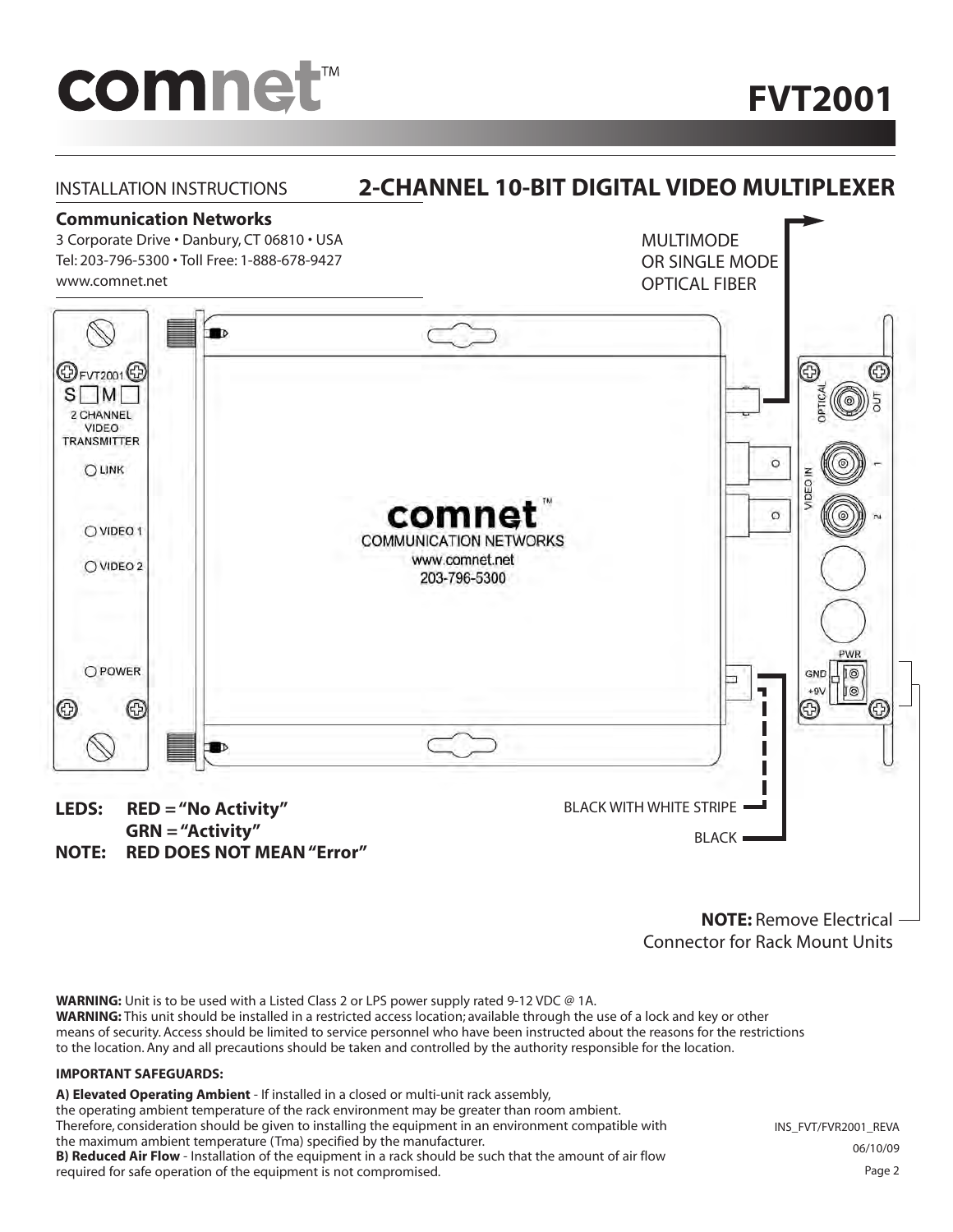# comnet<sup>™</sup>

**FVT2001**



**NOTE:** Remove Electrical Connector for Rack Mount Units

**WARNING:** Unit is to be used with a Listed Class 2 or LPS power supply rated 9-12 VDC @ 1A. **WARNING:** This unit should be installed in a restricted access location; available through the use of a lock and key or other means of security. Access should be limited to service personnel who have been instructed about the reasons for the restrictions to the location. Any and all precautions should be taken and controlled by the authority responsible for the location.

#### **IMPORTANT SAFEGUARDS:**

**A) Elevated Operating Ambient** - If installed in a closed or multi-unit rack assembly,

the operating ambient temperature of the rack environment may be greater than room ambient.

Therefore, consideration should be given to installing the equipment in an environment compatible with the maximum ambient temperature (Tma) specified by the manufacturer. **B) Reduced Air Flow** - Installation of the equipment in a rack should be such that the amount of air flow required for safe operation of the equipment is not compromised.

INS\_FVT/FVR2001\_REVA 06/10/09 Page 2